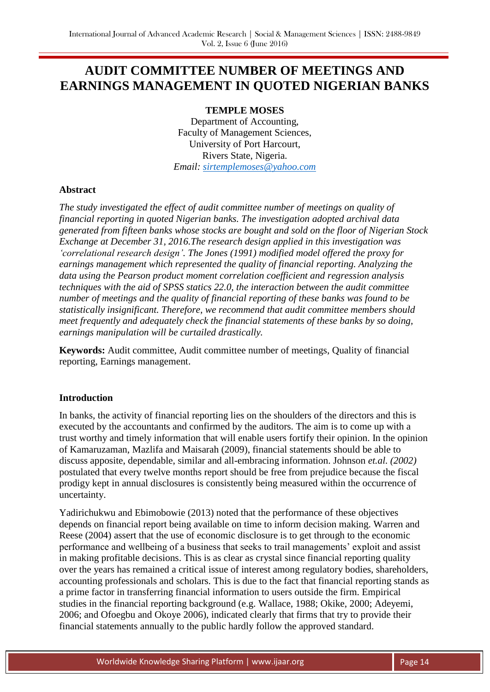# **AUDIT COMMITTEE NUMBER OF MEETINGS AND EARNINGS MANAGEMENT IN QUOTED NIGERIAN BANKS**

## **TEMPLE MOSES**

Department of Accounting, Faculty of Management Sciences, University of Port Harcourt, Rivers State, Nigeria. *Email: [sirtemplemoses@yahoo.com](mailto:sirtemplemoses@yahoo.com)* 

#### **Abstract**

*The study investigated the effect of audit committee number of meetings on quality of financial reporting in quoted Nigerian banks. The investigation adopted archival data generated from fifteen banks whose stocks are bought and sold on the floor of Nigerian Stock Exchange at December 31, 2016.The research design applied in this investigation was 'correlational research design'. The Jones (1991) modified model offered the proxy for earnings management which represented the quality of financial reporting. Analyzing the data using the Pearson product moment correlation coefficient and regression analysis techniques with the aid of SPSS statics 22.0, the interaction between the audit committee number of meetings and the quality of financial reporting of these banks was found to be statistically insignificant. Therefore, we recommend that audit committee members should meet frequently and adequately check the financial statements of these banks by so doing, earnings manipulation will be curtailed drastically.* 

**Keywords:** Audit committee, Audit committee number of meetings, Quality of financial reporting, Earnings management.

#### **Introduction**

In banks, the activity of financial reporting lies on the shoulders of the directors and this is executed by the accountants and confirmed by the auditors. The aim is to come up with a trust worthy and timely information that will enable users fortify their opinion. In the opinion of Kamaruzaman, Mazlifa and Maisarah (2009), financial statements should be able to discuss apposite, dependable, similar and all-embracing information. Johnson *et.al. (2002)* postulated that every twelve months report should be free from prejudice because the fiscal prodigy kept in annual disclosures is consistently being measured within the occurrence of uncertainty.

Yadirichukwu and Ebimobowie (2013) noted that the performance of these objectives depends on financial report being available on time to inform decision making. Warren and Reese (2004) assert that the use of economic disclosure is to get through to the economic performance and wellbeing of a business that seeks to trail managements' exploit and assist in making profitable decisions. This is as clear as crystal since financial reporting quality over the years has remained a critical issue of interest among regulatory bodies, shareholders, accounting professionals and scholars. This is due to the fact that financial reporting stands as a prime factor in transferring financial information to users outside the firm. Empirical studies in the financial reporting background (e.g. Wallace, 1988; Okike, 2000; Adeyemi, 2006; and Ofoegbu and Okoye 2006), indicated clearly that firms that try to provide their financial statements annually to the public hardly follow the approved standard.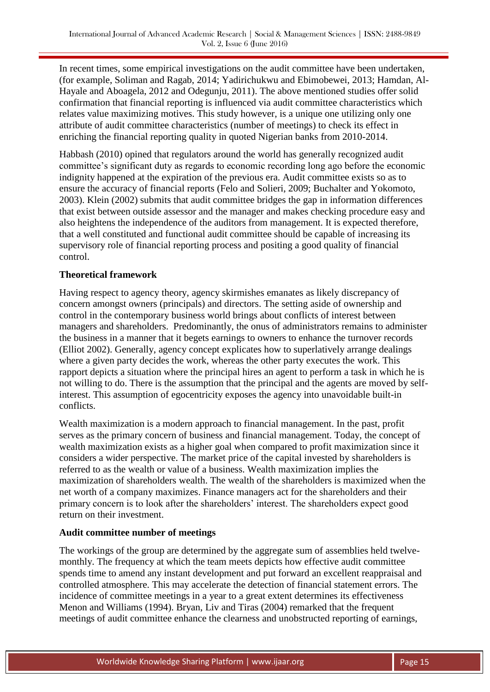In recent times, some empirical investigations on the audit committee have been undertaken, (for example, Soliman and Ragab, 2014; Yadirichukwu and Ebimobewei, 2013; Hamdan, Al-Hayale and Aboagela, 2012 and Odegunju, 2011). The above mentioned studies offer solid confirmation that financial reporting is influenced via audit committee characteristics which relates value maximizing motives. This study however, is a unique one utilizing only one attribute of audit committee characteristics (number of meetings) to check its effect in enriching the financial reporting quality in quoted Nigerian banks from 2010-2014.

Habbash (2010) opined that regulators around the world has generally recognized audit committee's significant duty as regards to economic recording long ago before the economic indignity happened at the expiration of the previous era. Audit committee exists so as to ensure the accuracy of financial reports (Felo and Solieri, 2009; Buchalter and Yokomoto, 2003). Klein (2002) submits that audit committee bridges the gap in information differences that exist between outside assessor and the manager and makes checking procedure easy and also heightens the independence of the auditors from management. It is expected therefore, that a well constituted and functional audit committee should be capable of increasing its supervisory role of financial reporting process and positing a good quality of financial control.

## **Theoretical framework**

Having respect to agency theory, agency skirmishes emanates as likely discrepancy of concern amongst owners (principals) and directors. The setting aside of ownership and control in the contemporary business world brings about conflicts of interest between managers and shareholders. Predominantly, the onus of administrators remains to administer the business in a manner that it begets earnings to owners to enhance the turnover records (Elliot 2002). Generally, agency concept explicates how to superlatively arrange dealings where a given party decides the work, whereas the other party executes the work. This rapport depicts a situation where the principal hires an agent to perform a task in which he is not willing to do. There is the assumption that the principal and the agents are moved by selfinterest. This assumption of egocentricity exposes the agency into unavoidable built-in conflicts.

Wealth maximization is a modern approach to financial management. In the past, profit serves as the primary concern of business and financial management. Today, the concept of wealth maximization exists as a higher goal when compared to profit maximization since it considers a wider perspective. The market price of the capital invested by shareholders is referred to as the wealth or value of a business. Wealth maximization implies the maximization of shareholders wealth. The wealth of the shareholders is maximized when the net worth of a company maximizes. Finance managers act for the shareholders and their primary concern is to look after the shareholders' interest. The shareholders expect good return on their investment.

#### **Audit committee number of meetings**

The workings of the group are determined by the aggregate sum of assemblies held twelvemonthly. The frequency at which the team meets depicts how effective audit committee spends time to amend any instant development and put forward an excellent reappraisal and controlled atmosphere. This may accelerate the detection of financial statement errors. The incidence of committee meetings in a year to a great extent determines its effectiveness Menon and Williams (1994). Bryan, Liv and Tiras (2004) remarked that the frequent meetings of audit committee enhance the clearness and unobstructed reporting of earnings,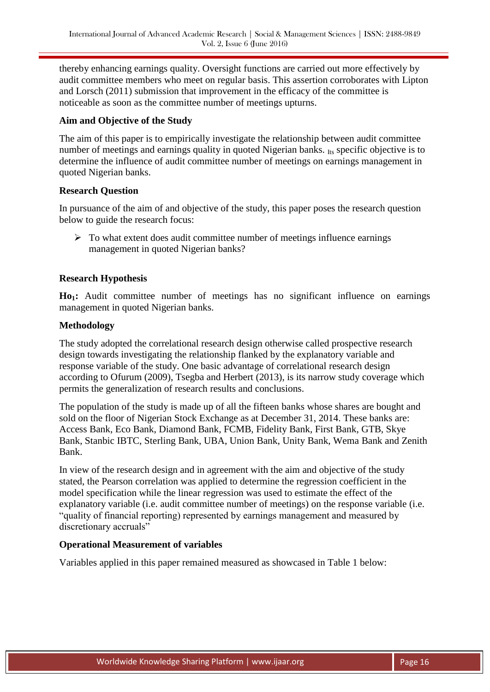thereby enhancing earnings quality. Oversight functions are carried out more effectively by audit committee members who meet on regular basis. This assertion corroborates with Lipton and Lorsch (2011) submission that improvement in the efficacy of the committee is noticeable as soon as the committee number of meetings upturns.

## **Aim and Objective of the Study**

The aim of this paper is to empirically investigate the relationship between audit committee number of meetings and earnings quality in quoted Nigerian banks. Its specific objective is to determine the influence of audit committee number of meetings on earnings management in quoted Nigerian banks.

## **Research Question**

In pursuance of the aim of and objective of the study, this paper poses the research question below to guide the research focus:

 $\triangleright$  To what extent does audit committee number of meetings influence earnings management in quoted Nigerian banks?

## **Research Hypothesis**

**Ho1:** Audit committee number of meetings has no significant influence on earnings management in quoted Nigerian banks.

#### **Methodology**

The study adopted the correlational research design otherwise called prospective research design towards investigating the relationship flanked by the explanatory variable and response variable of the study. One basic advantage of correlational research design according to Ofurum (2009), Tsegba and Herbert (2013), is its narrow study coverage which permits the generalization of research results and conclusions.

The population of the study is made up of all the fifteen banks whose shares are bought and sold on the floor of Nigerian Stock Exchange as at December 31, 2014. These banks are: Access Bank, Eco Bank, Diamond Bank, FCMB, Fidelity Bank, First Bank, GTB, Skye Bank, Stanbic IBTC, Sterling Bank, UBA, Union Bank, Unity Bank, Wema Bank and Zenith Bank.

In view of the research design and in agreement with the aim and objective of the study stated, the Pearson correlation was applied to determine the regression coefficient in the model specification while the linear regression was used to estimate the effect of the explanatory variable (i.e. audit committee number of meetings) on the response variable (i.e. "quality of financial reporting) represented by earnings management and measured by discretionary accruals"

#### **Operational Measurement of variables**

Variables applied in this paper remained measured as showcased in Table 1 below: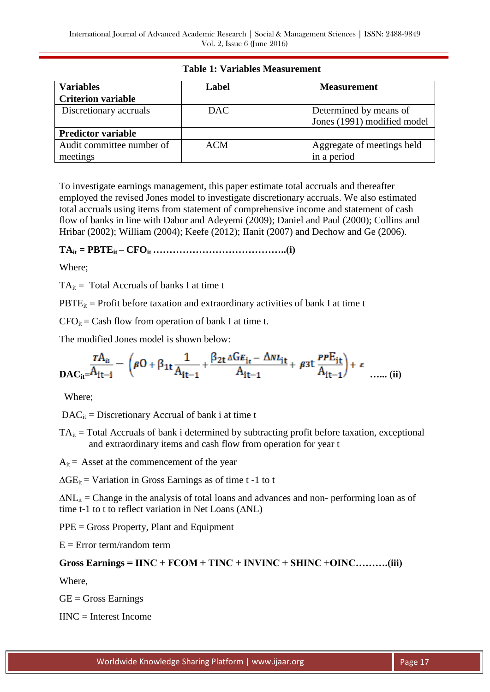## **Table 1: Variables Measurement**

| <b>Variables</b>          | Label      | <b>Measurement</b>          |  |  |
|---------------------------|------------|-----------------------------|--|--|
| <b>Criterion variable</b> |            |                             |  |  |
| Discretionary accruals    | <b>DAC</b> | Determined by means of      |  |  |
|                           |            | Jones (1991) modified model |  |  |
| <b>Predictor variable</b> |            |                             |  |  |
| Audit committee number of | <b>ACM</b> | Aggregate of meetings held  |  |  |
| meetings                  |            | in a period                 |  |  |

To investigate earnings management, this paper estimate total accruals and thereafter employed the revised Jones model to investigate discretionary accruals. We also estimated total accruals using items from statement of comprehensive income and statement of cash flow of banks in line with Dabor and Adeyemi (2009); Daniel and Paul (2000); Collins and Hribar (2002); William (2004); Keefe (2012); IIanit (2007) and Dechow and Ge (2006).

## **TAit = PBTEit – CFOit …………………………………..(i)**

Where;

 $TA_{it}$  = Total Accruals of banks I at time t

 $PBTE_{it}$  = Profit before taxation and extraordinary activities of bank I at time t

 $CFO_{it} = Cash$  flow from operation of bank I at time t.

The modified Jones model is shown below:

$$
\frac{rA_{it}}{DAC_{it}} = \frac{P_{it}}{A_{it-1}} - \left(\beta O + \beta_{1t} \frac{1}{A_{it-1}} + \frac{\beta_{2t} \Delta G E_{it} - \Delta N L_{it}}{A_{it-1}} + \beta_{3t} \frac{P P E_{it}}{A_{it-1}}\right) + \varepsilon
$$
 ...... (ii)

Where;

 $DAC<sub>it</sub> = Discrimary Accrual of bank i at time t$ 

 $TA_{it}$  = Total Accruals of bank i determined by subtracting profit before taxation, exceptional and extraordinary items and cash flow from operation for year t

 $A_{it}$  = Asset at the commencement of the year

 $\Delta GE_{it}$  = Variation in Gross Earnings as of time t -1 to t

 $\Delta NL_{it}$  = Change in the analysis of total loans and advances and non- performing loan as of time t-1 to t to reflect variation in Net Loans (∆NL)

PPE = Gross Property, Plant and Equipment

 $E = Error term/random$  term

## **Gross Earnings = IINC + FCOM + TINC + INVINC + SHINC +OINC……….(iii)**

Where,

 $GE = Gross$  Earnings

IINC = Interest Income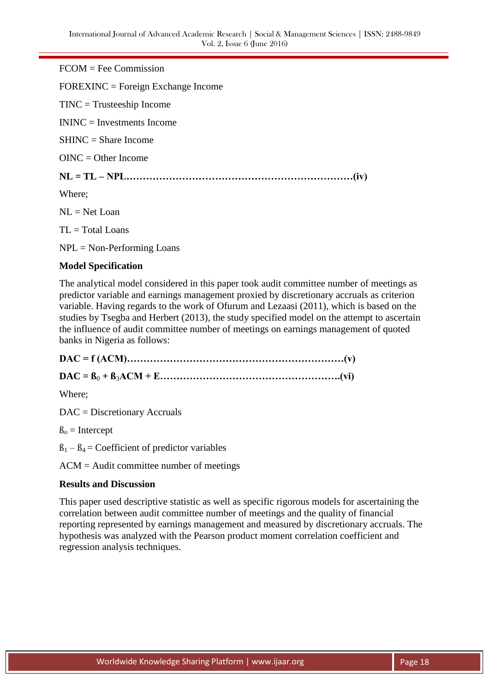FCOM = Fee Commission FOREXINC = Foreign Exchange Income TINC = Trusteeship Income ININC = Investments Income SHINC = Share Income  $OINC = Other Income$ **NL = TL – NPL……………………………………………………………(iv)** Where;  $NL = Net Loan$ 

 $TL = Total$  Loans

 $NPL = Non-Performing Loans$ 

#### **Model Specification**

The analytical model considered in this paper took audit committee number of meetings as predictor variable and earnings management proxied by discretionary accruals as criterion variable. Having regards to the work of Ofurum and Lezaasi (2011), which is based on the studies by Tsegba and Herbert (2013), the study specified model on the attempt to ascertain the influence of audit committee number of meetings on earnings management of quoted banks in Nigeria as follows:

**DAC = f (ACM)…………………………………………………………(v) DAC = ß**<sup>0</sup> **+ ß**3**ACM + E……………………………………………….(vi)**

Where;

DAC = Discretionary Accruals

 $\beta_0$  = Intercept

 $B_1 - B_4 =$  Coefficient of predictor variables

ACM = Audit committee number of meetings

#### **Results and Discussion**

This paper used descriptive statistic as well as specific rigorous models for ascertaining the correlation between audit committee number of meetings and the quality of financial reporting represented by earnings management and measured by discretionary accruals. The hypothesis was analyzed with the Pearson product moment correlation coefficient and regression analysis techniques.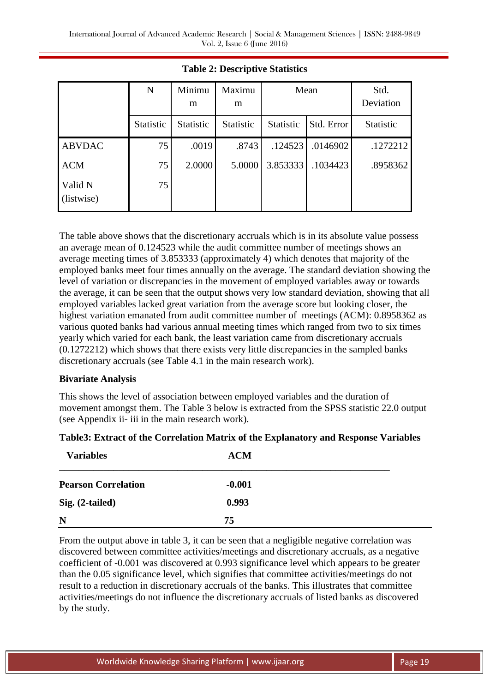|                       | N                | Minimu<br>m | Maximu<br>m      | Mean      |            | Std.<br>Deviation |
|-----------------------|------------------|-------------|------------------|-----------|------------|-------------------|
|                       | <b>Statistic</b> | Statistic   | <b>Statistic</b> | Statistic | Std. Error | Statistic         |
| <b>ABVDAC</b>         | 75               | .0019       | .8743            | .124523   | .0146902   | .1272212          |
| <b>ACM</b>            | 75               | 2.0000      | 5.0000           | 3.853333  | .1034423   | .8958362          |
| Valid N<br>(listwise) | 75               |             |                  |           |            |                   |

## **Table 2: Descriptive Statistics**

The table above shows that the discretionary accruals which is in its absolute value possess an average mean of 0.124523 while the audit committee number of meetings shows an average meeting times of 3.853333 (approximately 4) which denotes that majority of the employed banks meet four times annually on the average. The standard deviation showing the level of variation or discrepancies in the movement of employed variables away or towards the average, it can be seen that the output shows very low standard deviation, showing that all employed variables lacked great variation from the average score but looking closer, the highest variation emanated from audit committee number of meetings (ACM): 0.8958362 as various quoted banks had various annual meeting times which ranged from two to six times yearly which varied for each bank, the least variation came from discretionary accruals (0.1272212) which shows that there exists very little discrepancies in the sampled banks discretionary accruals (see Table 4.1 in the main research work).

#### **Bivariate Analysis**

This shows the level of association between employed variables and the duration of movement amongst them. The Table 3 below is extracted from the SPSS statistic 22.0 output (see Appendix ii- iii in the main research work).

## **Table3: Extract of the Correlation Matrix of the Explanatory and Response Variables**

| <b>Variables</b>           | <b>ACM</b> |  |
|----------------------------|------------|--|
| <b>Pearson Correlation</b> | $-0.001$   |  |
| Sig. (2-tailed)            | 0.993      |  |
| N                          | 75         |  |

From the output above in table 3, it can be seen that a negligible negative correlation was discovered between committee activities/meetings and discretionary accruals, as a negative coefficient of -0.001 was discovered at 0.993 significance level which appears to be greater than the 0.05 significance level, which signifies that committee activities/meetings do not result to a reduction in discretionary accruals of the banks. This illustrates that committee activities/meetings do not influence the discretionary accruals of listed banks as discovered by the study.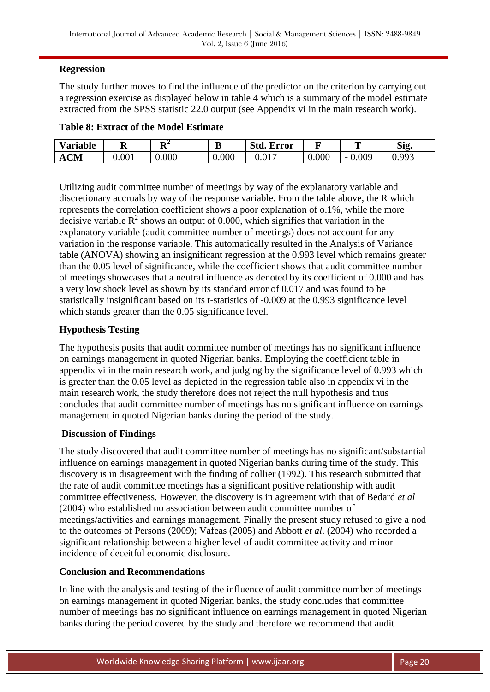## **Regression**

The study further moves to find the influence of the predictor on the criterion by carrying out a regression exercise as displayed below in table 4 which is a summary of the model estimate extracted from the SPSS statistic 22.0 output (see Appendix vi in the main research work).

| <b>Variable</b>     | A     | $\mathbf{L}$<br>л. | IJ    | Std.<br>Ð<br><b>Error</b> | -     | m                                 | Sig.                |
|---------------------|-------|--------------------|-------|---------------------------|-------|-----------------------------------|---------------------|
| $\mathbf{CM}$<br>ÆХ | 0.001 | 0.000              | 0.000 | 017<br>U.VI               | 0.000 | 0.009<br>$\overline{\phantom{0}}$ | 003<br><u>U.JJJ</u> |

Utilizing audit committee number of meetings by way of the explanatory variable and discretionary accruals by way of the response variable. From the table above, the R which represents the correlation coefficient shows a poor explanation of o.1%, while the more decisive variable  $R^2$  shows an output of 0.000, which signifies that variation in the explanatory variable (audit committee number of meetings) does not account for any variation in the response variable. This automatically resulted in the Analysis of Variance table (ANOVA) showing an insignificant regression at the 0.993 level which remains greater than the 0.05 level of significance, while the coefficient shows that audit committee number of meetings showcases that a neutral influence as denoted by its coefficient of 0.000 and has a very low shock level as shown by its standard error of 0.017 and was found to be statistically insignificant based on its t-statistics of -0.009 at the 0.993 significance level which stands greater than the 0.05 significance level.

## **Hypothesis Testing**

The hypothesis posits that audit committee number of meetings has no significant influence on earnings management in quoted Nigerian banks. Employing the coefficient table in appendix vi in the main research work, and judging by the significance level of 0.993 which is greater than the 0.05 level as depicted in the regression table also in appendix vi in the main research work, the study therefore does not reject the null hypothesis and thus concludes that audit committee number of meetings has no significant influence on earnings management in quoted Nigerian banks during the period of the study.

## **Discussion of Findings**

The study discovered that audit committee number of meetings has no significant/substantial influence on earnings management in quoted Nigerian banks during time of the study. This discovery is in disagreement with the finding of collier (1992). This research submitted that the rate of audit committee meetings has a significant positive relationship with audit committee effectiveness. However, the discovery is in agreement with that of Bedard *et al* (2004) who established no association between audit committee number of meetings/activities and earnings management. Finally the present study refused to give a nod to the outcomes of Persons (2009); Vafeas (2005) and Abbott *et al*. (2004) who recorded a significant relationship between a higher level of audit committee activity and minor incidence of deceitful economic disclosure.

#### **Conclusion and Recommendations**

In line with the analysis and testing of the influence of audit committee number of meetings on earnings management in quoted Nigerian banks, the study concludes that committee number of meetings has no significant influence on earnings management in quoted Nigerian banks during the period covered by the study and therefore we recommend that audit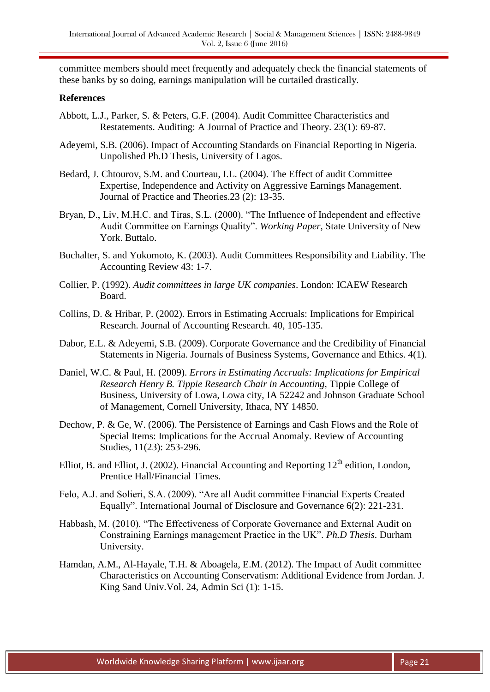committee members should meet frequently and adequately check the financial statements of these banks by so doing, earnings manipulation will be curtailed drastically.

#### **References**

- Abbott, L.J., Parker, S. & Peters, G.F. (2004). Audit Committee Characteristics and Restatements. Auditing: A Journal of Practice and Theory. 23(1): 69-87.
- Adeyemi, S.B. (2006). Impact of Accounting Standards on Financial Reporting in Nigeria. Unpolished Ph.D Thesis, University of Lagos.
- Bedard, J. Chtourov, S.M. and Courteau, I.L. (2004). The Effect of audit Committee Expertise, Independence and Activity on Aggressive Earnings Management. Journal of Practice and Theories.23 (2): 13-35.
- Bryan, D., Liv, M.H.C. and Tiras, S.L. (2000). "The Influence of Independent and effective Audit Committee on Earnings Quality". *Working Paper*, State University of New York. Buttalo.
- Buchalter, S. and Yokomoto, K. (2003). Audit Committees Responsibility and Liability. The Accounting Review 43: 1-7.
- Collier, P. (1992). *Audit committees in large UK companies*. London: ICAEW Research Board.
- Collins, D. & Hribar, P. (2002). Errors in Estimating Accruals: Implications for Empirical Research. Journal of Accounting Research. 40, 105-135.
- Dabor, E.L. & Adeyemi, S.B. (2009). Corporate Governance and the Credibility of Financial Statements in Nigeria. Journals of Business Systems, Governance and Ethics. 4(1).
- Daniel, W.C. & Paul, H. (2009). *Errors in Estimating Accruals: Implications for Empirical Research Henry B. Tippie Research Chair in Accounting,* Tippie College of Business, University of Lowa, Lowa city, IA 52242 and Johnson Graduate School of Management, Cornell University, Ithaca, NY 14850.
- Dechow, P. & Ge, W. (2006). The Persistence of Earnings and Cash Flows and the Role of Special Items: Implications for the Accrual Anomaly. Review of Accounting Studies, 11(23): 253-296.
- Elliot, B. and Elliot, J. (2002). Financial Accounting and Reporting  $12<sup>th</sup>$  edition, London, Prentice Hall/Financial Times.
- Felo, A.J. and Solieri, S.A. (2009). "Are all Audit committee Financial Experts Created Equally". International Journal of Disclosure and Governance 6(2): 221-231.
- Habbash, M. (2010). "The Effectiveness of Corporate Governance and External Audit on Constraining Earnings management Practice in the UK". *Ph.D Thesis*. Durham University.
- Hamdan, A.M., Al-Hayale, T.H. & Aboagela, E.M. (2012). The Impact of Audit committee Characteristics on Accounting Conservatism: Additional Evidence from Jordan. J. King Sand Univ.Vol. 24, Admin Sci (1): 1-15.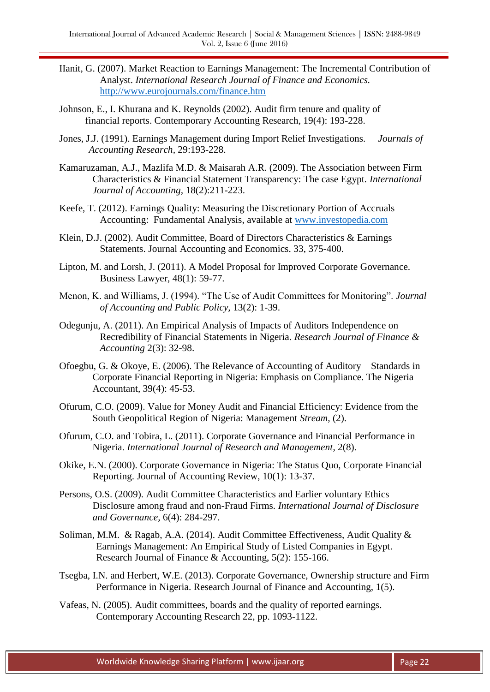- IIanit, G. (2007). Market Reaction to Earnings Management: The Incremental Contribution of Analyst. *International Research Journal of Finance and Economics.* <http://www.eurojournals.com/finance.htm>
- Johnson, E., I. Khurana and K. Reynolds (2002). Audit firm tenure and quality of financial reports. Contemporary Accounting Research, 19(4): 193-228.
- Jones, J.J. (1991). Earnings Management during Import Relief Investigations. *Journals of Accounting Research,* 29:193-228.
- Kamaruzaman, A.J., Mazlifa M.D. & Maisarah A.R. (2009). The Association between Firm Characteristics & Financial Statement Transparency: The case Egypt. *International Journal of Accounting,* 18(2):211-223.
- Keefe, T. (2012). Earnings Quality: Measuring the Discretionary Portion of Accruals Accounting: Fundamental Analysis, available at [www.investopedia.com](http://www.investopedia.com/)
- Klein, D.J. (2002). Audit Committee, Board of Directors Characteristics & Earnings Statements. Journal Accounting and Economics. 33, 375-400.
- Lipton, M. and Lorsh, J. (2011). A Model Proposal for Improved Corporate Governance. Business Lawyer, 48(1): 59-77.
- Menon, K. and Williams, J. (1994). "The Use of Audit Committees for Monitoring". *Journal of Accounting and Public Policy,* 13(2): 1-39.
- Odegunju, A. (2011). An Empirical Analysis of Impacts of Auditors Independence on Recredibility of Financial Statements in Nigeria. *Research Journal of Finance & Accounting* 2(3): 32-98.
- Ofoegbu, G. & Okoye, E. (2006). The Relevance of Accounting of Auditory Standards in Corporate Financial Reporting in Nigeria: Emphasis on Compliance. The Nigeria Accountant, 39(4): 45-53.
- Ofurum, C.O. (2009). Value for Money Audit and Financial Efficiency: Evidence from the South Geopolitical Region of Nigeria: Management *Stream,* (2).
- Ofurum, C.O. and Tobira, L. (2011). Corporate Governance and Financial Performance in Nigeria. *International Journal of Research and Management*, 2(8).
- Okike, E.N. (2000). Corporate Governance in Nigeria: The Status Quo, Corporate Financial Reporting. Journal of Accounting Review, 10(1): 13-37.
- Persons, O.S. (2009). Audit Committee Characteristics and Earlier voluntary Ethics Disclosure among fraud and non-Fraud Firms. *International Journal of Disclosure and Governance,* 6(4): 284-297.
- Soliman, M.M. & Ragab, A.A. (2014). Audit Committee Effectiveness, Audit Quality & Earnings Management: An Empirical Study of Listed Companies in Egypt. Research Journal of Finance & Accounting, 5(2): 155-166.
- Tsegba, I.N. and Herbert, W.E. (2013). Corporate Governance, Ownership structure and Firm Performance in Nigeria. Research Journal of Finance and Accounting, 1(5).
- Vafeas, N. (2005). Audit committees, boards and the quality of reported earnings. Contemporary Accounting Research 22, pp. 1093-1122.